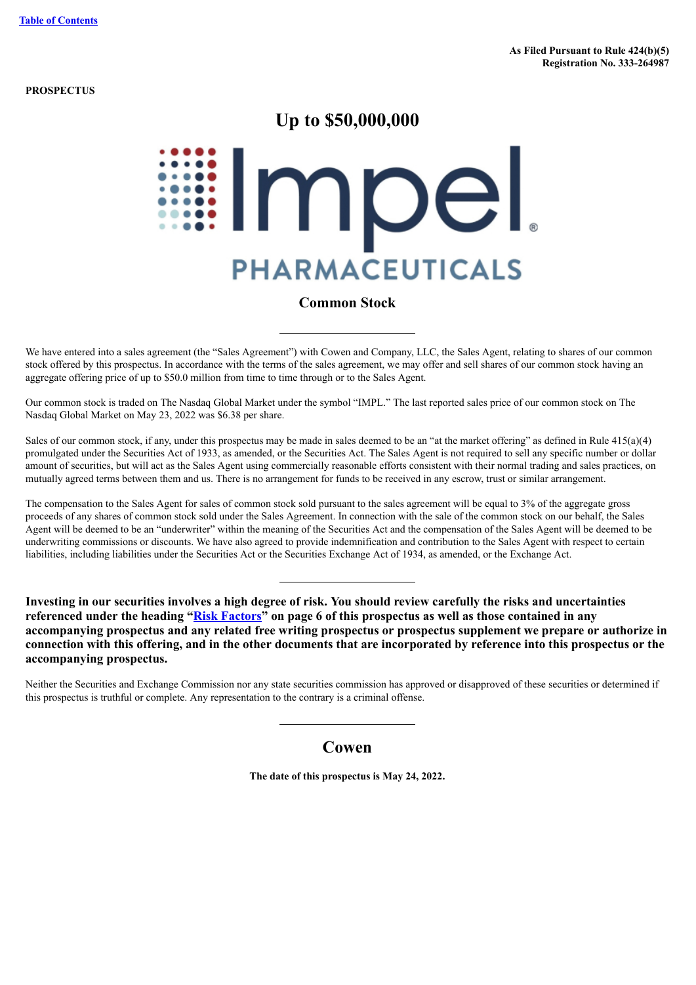**PROSPECTUS**

# **Up to \$50,000,000**

# Impel **PHARMACEUTICALS**

## **Common Stock**

We have entered into a sales agreement (the "Sales Agreement") with Cowen and Company, LLC, the Sales Agent, relating to shares of our common stock offered by this prospectus. In accordance with the terms of the sales agreement, we may offer and sell shares of our common stock having an aggregate offering price of up to \$50.0 million from time to time through or to the Sales Agent.

Our common stock is traded on The Nasdaq Global Market under the symbol "IMPL." The last reported sales price of our common stock on The Nasdaq Global Market on May 23, 2022 was \$6.38 per share.

Sales of our common stock, if any, under this prospectus may be made in sales deemed to be an "at the market offering" as defined in Rule  $415(a)(4)$ promulgated under the Securities Act of 1933, as amended, or the Securities Act. The Sales Agent is not required to sell any specific number or dollar amount of securities, but will act as the Sales Agent using commercially reasonable efforts consistent with their normal trading and sales practices, on mutually agreed terms between them and us. There is no arrangement for funds to be received in any escrow, trust or similar arrangement.

The compensation to the Sales Agent for sales of common stock sold pursuant to the sales agreement will be equal to 3% of the aggregate gross proceeds of any shares of common stock sold under the Sales Agreement. In connection with the sale of the common stock on our behalf, the Sales Agent will be deemed to be an "underwriter" within the meaning of the Securities Act and the compensation of the Sales Agent will be deemed to be underwriting commissions or discounts. We have also agreed to provide indemnification and contribution to the Sales Agent with respect to certain liabilities, including liabilities under the Securities Act or the Securities Exchange Act of 1934, as amended, or the Exchange Act.

**Investing in our securities involves a high degree of risk. You should review carefully the risks and uncertainties referenced under the heading "[Risk Factors"](#page-7-0) on page 6 of this prospectus as well as those contained in any accompanying prospectus and any related free writing prospectus or prospectus supplement we prepare or authorize in connection with this offering, and in the other documents that are incorporated by reference into this prospectus or the accompanying prospectus.**

Neither the Securities and Exchange Commission nor any state securities commission has approved or disapproved of these securities or determined if this prospectus is truthful or complete. Any representation to the contrary is a criminal offense.

## **Cowen**

**The date of this prospectus is May 24, 2022.**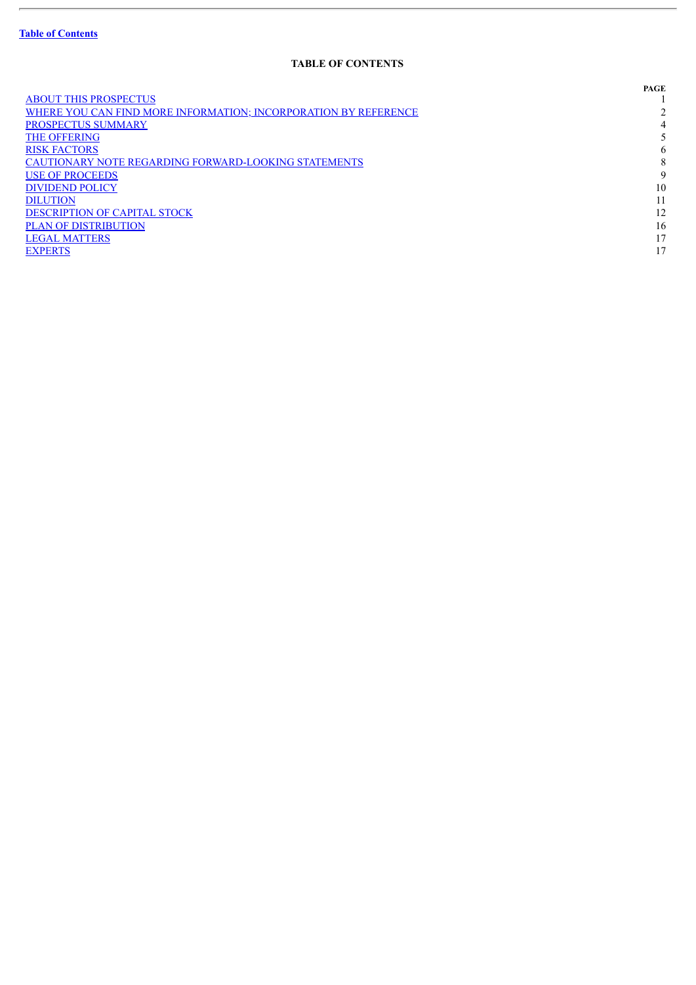ł.

## **TABLE OF CONTENTS**

<span id="page-1-0"></span>

|                                                                        | PAGE |
|------------------------------------------------------------------------|------|
| <b>ABOUT THIS PROSPECTUS</b>                                           |      |
| <b>WHERE YOU CAN FIND MORE INFORMATION; INCORPORATION BY REFERENCE</b> |      |
| <b>PROSPECTUS SUMMARY</b>                                              | 4    |
| <b>THE OFFERING</b>                                                    |      |
| <b>RISK FACTORS</b>                                                    | 6    |
| CAUTIONARY NOTE REGARDING FORWARD-LOOKING STATEMENTS                   | 8    |
| <b>USE OF PROCEEDS</b>                                                 | 9    |
| <b>DIVIDEND POLICY</b>                                                 | 10   |
| <b>DILUTION</b>                                                        |      |
| <b>DESCRIPTION OF CAPITAL STOCK</b>                                    | 12   |
| <b>PLAN OF DISTRIBUTION</b>                                            | 16   |
| <b>LEGAL MATTERS</b>                                                   | 17   |
| <b>EXPERTS</b>                                                         | 17   |
|                                                                        |      |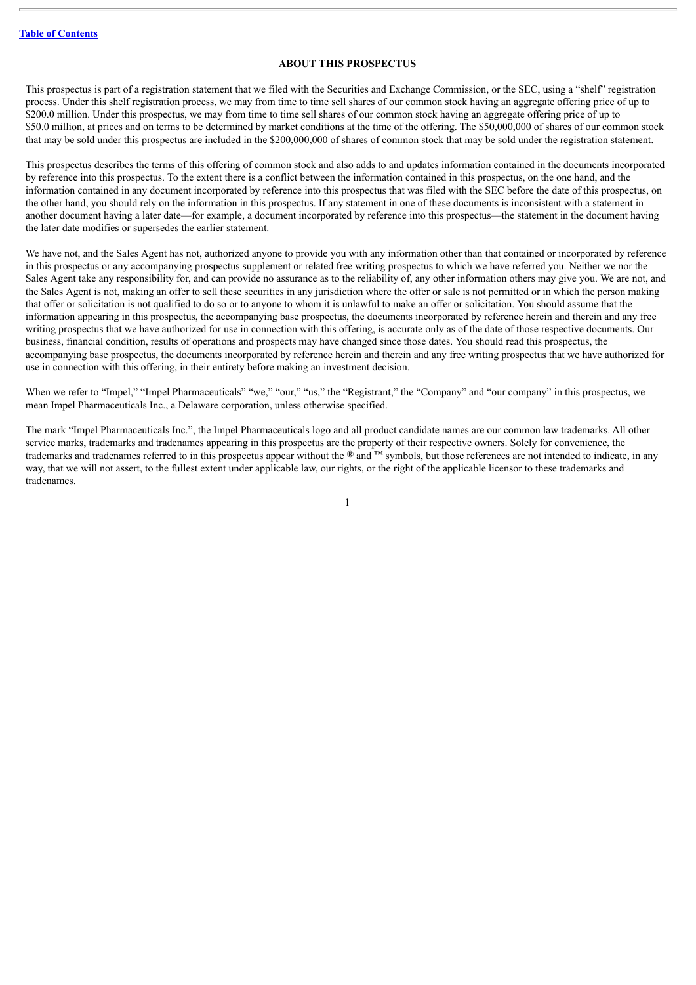## **ABOUT THIS PROSPECTUS**

<span id="page-2-0"></span>This prospectus is part of a registration statement that we filed with the Securities and Exchange Commission, or the SEC, using a "shelf" registration process. Under this shelf registration process, we may from time to time sell shares of our common stock having an aggregate offering price of up to \$200.0 million. Under this prospectus, we may from time to time sell shares of our common stock having an aggregate offering price of up to \$50.0 million, at prices and on terms to be determined by market conditions at the time of the offering. The \$50,000,000 of shares of our common stock that may be sold under this prospectus are included in the \$200,000,000 of shares of common stock that may be sold under the registration statement.

This prospectus describes the terms of this offering of common stock and also adds to and updates information contained in the documents incorporated by reference into this prospectus. To the extent there is a conflict between the information contained in this prospectus, on the one hand, and the information contained in any document incorporated by reference into this prospectus that was filed with the SEC before the date of this prospectus, on the other hand, you should rely on the information in this prospectus. If any statement in one of these documents is inconsistent with a statement in another document having a later date—for example, a document incorporated by reference into this prospectus—the statement in the document having the later date modifies or supersedes the earlier statement.

We have not, and the Sales Agent has not, authorized anyone to provide you with any information other than that contained or incorporated by reference in this prospectus or any accompanying prospectus supplement or related free writing prospectus to which we have referred you. Neither we nor the Sales Agent take any responsibility for, and can provide no assurance as to the reliability of, any other information others may give you. We are not, and the Sales Agent is not, making an offer to sell these securities in any jurisdiction where the offer or sale is not permitted or in which the person making that offer or solicitation is not qualified to do so or to anyone to whom it is unlawful to make an offer or solicitation. You should assume that the information appearing in this prospectus, the accompanying base prospectus, the documents incorporated by reference herein and therein and any free writing prospectus that we have authorized for use in connection with this offering, is accurate only as of the date of those respective documents. Our business, financial condition, results of operations and prospects may have changed since those dates. You should read this prospectus, the accompanying base prospectus, the documents incorporated by reference herein and therein and any free writing prospectus that we have authorized for use in connection with this offering, in their entirety before making an investment decision.

When we refer to "Impel," "Impel Pharmaceuticals" "we," "our," "us," the "Registrant," the "Company" and "our company" in this prospectus, we mean Impel Pharmaceuticals Inc., a Delaware corporation, unless otherwise specified.

The mark "Impel Pharmaceuticals Inc.", the Impel Pharmaceuticals logo and all product candidate names are our common law trademarks. All other service marks, trademarks and tradenames appearing in this prospectus are the property of their respective owners. Solely for convenience, the trademarks and tradenames referred to in this prospectus appear without the ® and ™ symbols, but those references are not intended to indicate, in any way, that we will not assert, to the fullest extent under applicable law, our rights, or the right of the applicable licensor to these trademarks and tradenames.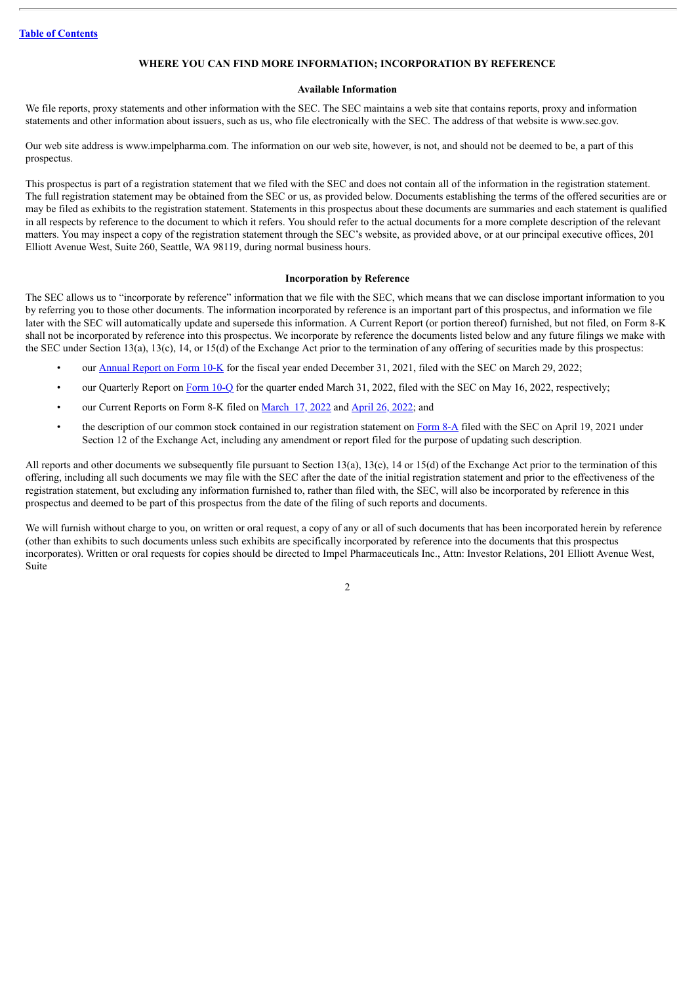## **WHERE YOU CAN FIND MORE INFORMATION; INCORPORATION BY REFERENCE**

## **Available Information**

<span id="page-3-0"></span>We file reports, proxy statements and other information with the SEC. The SEC maintains a web site that contains reports, proxy and information statements and other information about issuers, such as us, who file electronically with the SEC. The address of that website is www.sec.gov.

Our web site address is www.impelpharma.com. The information on our web site, however, is not, and should not be deemed to be, a part of this prospectus.

This prospectus is part of a registration statement that we filed with the SEC and does not contain all of the information in the registration statement. The full registration statement may be obtained from the SEC or us, as provided below. Documents establishing the terms of the offered securities are or may be filed as exhibits to the registration statement. Statements in this prospectus about these documents are summaries and each statement is qualified in all respects by reference to the document to which it refers. You should refer to the actual documents for a more complete description of the relevant matters. You may inspect a copy of the registration statement through the SEC's website, as provided above, or at our principal executive offices, 201 Elliott Avenue West, Suite 260, Seattle, WA 98119, during normal business hours.

## **Incorporation by Reference**

The SEC allows us to "incorporate by reference" information that we file with the SEC, which means that we can disclose important information to you by referring you to those other documents. The information incorporated by reference is an important part of this prospectus, and information we file later with the SEC will automatically update and supersede this information. A Current Report (or portion thereof) furnished, but not filed, on Form 8-K shall not be incorporated by reference into this prospectus. We incorporate by reference the documents listed below and any future filings we make with the SEC under Section 13(a), 13(c), 14, or 15(d) of the Exchange Act prior to the termination of any offering of securities made by this prospectus:

- our [Annual](http://www.sec.gov/ix?doc=/Archives/edgar/data/1445499/000095017022004939/impl-20211231.htm) Report on Form 10-K for the fiscal year ended December 31, 2021, filed with the SEC on March 29, 2022;
- our Quarterly Report on [Form](http://www.sec.gov/ix?doc=/Archives/edgar/data/1445499/000095017022009951/impl-20220331.htm) 10-Q for the quarter ended March 31, 2022, filed with the SEC on May 16, 2022, respectively;
- our Current Reports on Form 8-K filed on [March](http://www.sec.gov/ix?doc=/Archives/edgar/data/1445499/000095017022004006/impl-20220317.htm) 17, 2022 and [April](http://www.sec.gov/ix?doc=/Archives/edgar/data/1445499/000095017022006197/impl-20220426.htm) 26, 2022; and
- the description of our common stock contained in our registration statement on [Form](http://www.sec.gov/Archives/edgar/data/0001445499/000119312521121214/d143385d8a12b.htm) 8-A filed with the SEC on April 19, 2021 under Section 12 of the Exchange Act, including any amendment or report filed for the purpose of updating such description.

All reports and other documents we subsequently file pursuant to Section 13(a), 13(c), 14 or 15(d) of the Exchange Act prior to the termination of this offering, including all such documents we may file with the SEC after the date of the initial registration statement and prior to the effectiveness of the registration statement, but excluding any information furnished to, rather than filed with, the SEC, will also be incorporated by reference in this prospectus and deemed to be part of this prospectus from the date of the filing of such reports and documents.

We will furnish without charge to you, on written or oral request, a copy of any or all of such documents that has been incorporated herein by reference (other than exhibits to such documents unless such exhibits are specifically incorporated by reference into the documents that this prospectus incorporates). Written or oral requests for copies should be directed to Impel Pharmaceuticals Inc., Attn: Investor Relations, 201 Elliott Avenue West, Suite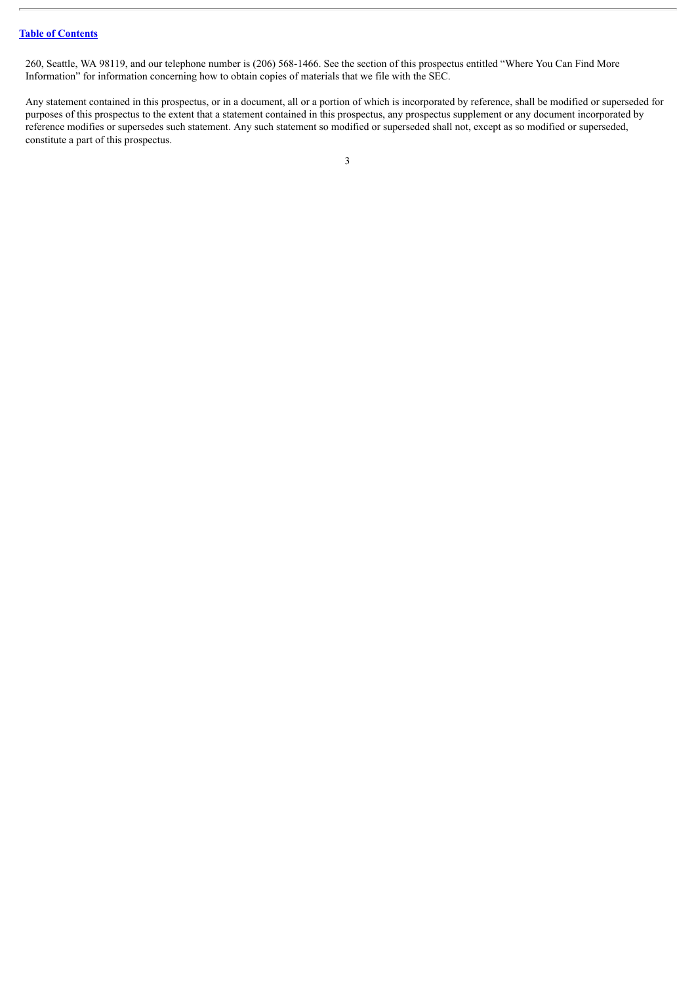260, Seattle, WA 98119, and our telephone number is (206) 568-1466. See the section of this prospectus entitled "Where You Can Find More Information" for information concerning how to obtain copies of materials that we file with the SEC.

Any statement contained in this prospectus, or in a document, all or a portion of which is incorporated by reference, shall be modified or superseded for purposes of this prospectus to the extent that a statement contained in this prospectus, any prospectus supplement or any document incorporated by reference modifies or supersedes such statement. Any such statement so modified or superseded shall not, except as so modified or superseded, constitute a part of this prospectus.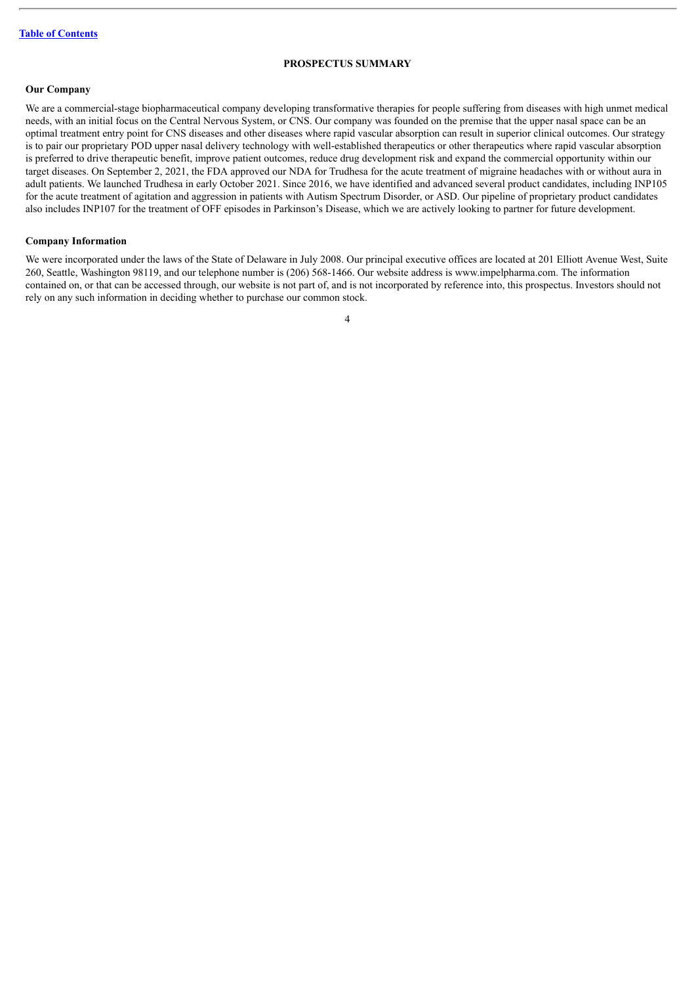## **PROSPECTUS SUMMARY**

## <span id="page-5-0"></span>**Our Company**

We are a commercial-stage biopharmaceutical company developing transformative therapies for people suffering from diseases with high unmet medical needs, with an initial focus on the Central Nervous System, or CNS. Our company was founded on the premise that the upper nasal space can be an optimal treatment entry point for CNS diseases and other diseases where rapid vascular absorption can result in superior clinical outcomes. Our strategy is to pair our proprietary POD upper nasal delivery technology with well-established therapeutics or other therapeutics where rapid vascular absorption is preferred to drive therapeutic benefit, improve patient outcomes, reduce drug development risk and expand the commercial opportunity within our target diseases. On September 2, 2021, the FDA approved our NDA for Trudhesa for the acute treatment of migraine headaches with or without aura in adult patients. We launched Trudhesa in early October 2021. Since 2016, we have identified and advanced several product candidates, including INP105 for the acute treatment of agitation and aggression in patients with Autism Spectrum Disorder, or ASD. Our pipeline of proprietary product candidates also includes INP107 for the treatment of OFF episodes in Parkinson's Disease, which we are actively looking to partner for future development.

## **Company Information**

We were incorporated under the laws of the State of Delaware in July 2008. Our principal executive offices are located at 201 Elliott Avenue West, Suite 260, Seattle, Washington 98119, and our telephone number is (206) 568-1466. Our website address is www.impelpharma.com. The information contained on, or that can be accessed through, our website is not part of, and is not incorporated by reference into, this prospectus. Investors should not rely on any such information in deciding whether to purchase our common stock.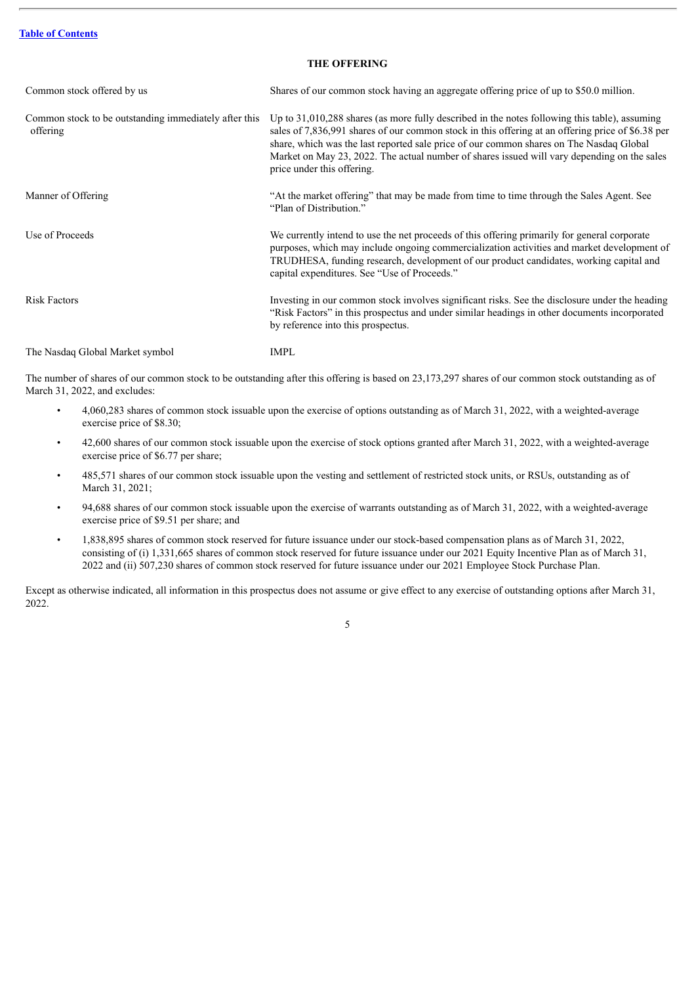## **THE OFFERING**

<span id="page-6-0"></span>

| Common stock offered by us                                        | Shares of our common stock having an aggregate offering price of up to \$50.0 million.                                                                                                                                                                                                                                                                                                                                       |
|-------------------------------------------------------------------|------------------------------------------------------------------------------------------------------------------------------------------------------------------------------------------------------------------------------------------------------------------------------------------------------------------------------------------------------------------------------------------------------------------------------|
| Common stock to be outstanding immediately after this<br>offering | Up to $31,010,288$ shares (as more fully described in the notes following this table), assuming<br>sales of 7,836,991 shares of our common stock in this offering at an offering price of \$6.38 per<br>share, which was the last reported sale price of our common shares on The Nasdaq Global<br>Market on May 23, 2022. The actual number of shares issued will vary depending on the sales<br>price under this offering. |
| Manner of Offering                                                | "At the market offering" that may be made from time to time through the Sales Agent. See<br>"Plan of Distribution."                                                                                                                                                                                                                                                                                                          |
| Use of Proceeds                                                   | We currently intend to use the net proceeds of this offering primarily for general corporate<br>purposes, which may include ongoing commercialization activities and market development of<br>TRUDHESA, funding research, development of our product candidates, working capital and<br>capital expenditures. See "Use of Proceeds."                                                                                         |
| <b>Risk Factors</b>                                               | Investing in our common stock involves significant risks. See the disclosure under the heading<br>"Risk Factors" in this prospectus and under similar headings in other documents incorporated<br>by reference into this prospectus.                                                                                                                                                                                         |
| The Nasdaq Global Market symbol                                   | <b>IMPL</b>                                                                                                                                                                                                                                                                                                                                                                                                                  |

The number of shares of our common stock to be outstanding after this offering is based on 23,173,297 shares of our common stock outstanding as of March 31, 2022, and excludes:

- 4,060,283 shares of common stock issuable upon the exercise of options outstanding as of March 31, 2022, with a weighted-average exercise price of \$8.30;
- 42,600 shares of our common stock issuable upon the exercise of stock options granted after March 31, 2022, with a weighted-average exercise price of \$6.77 per share;
- 485,571 shares of our common stock issuable upon the vesting and settlement of restricted stock units, or RSUs, outstanding as of March 31, 2021;
- 94,688 shares of our common stock issuable upon the exercise of warrants outstanding as of March 31, 2022, with a weighted-average exercise price of \$9.51 per share; and
- 1,838,895 shares of common stock reserved for future issuance under our stock-based compensation plans as of March 31, 2022, consisting of (i) 1,331,665 shares of common stock reserved for future issuance under our 2021 Equity Incentive Plan as of March 31, 2022 and (ii) 507,230 shares of common stock reserved for future issuance under our 2021 Employee Stock Purchase Plan.

Except as otherwise indicated, all information in this prospectus does not assume or give effect to any exercise of outstanding options after March 31, 2022.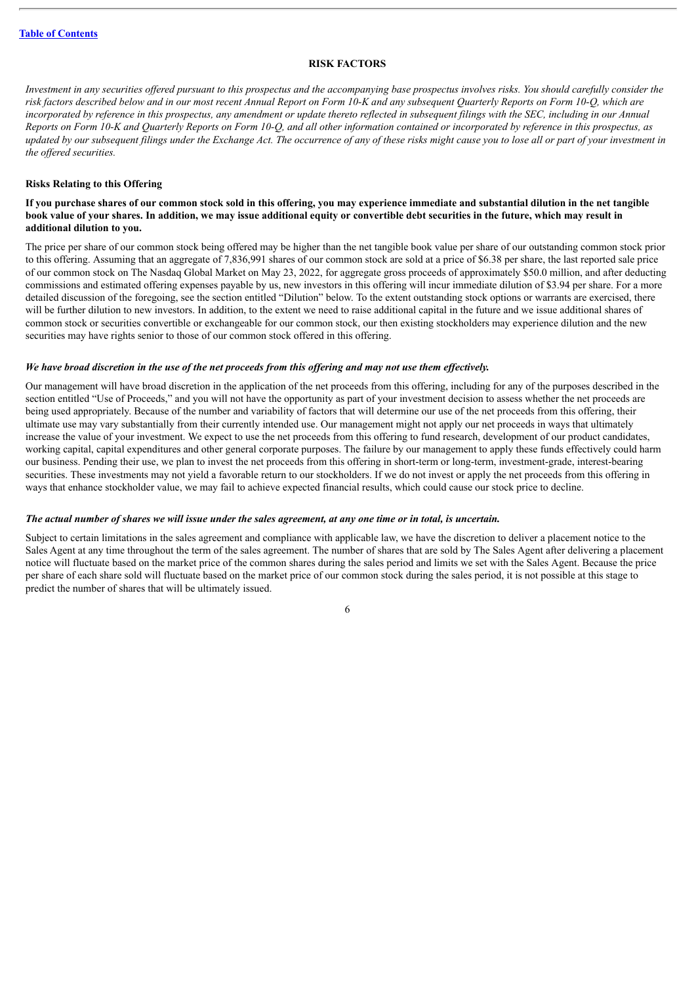## **RISK FACTORS**

<span id="page-7-0"></span>Investment in any securities offered pursuant to this prospectus and the accompanying base prospectus involves risks. You should carefully consider the risk factors described below and in our most recent Annual Report on Form 10-K and any subsequent Ouarterly Reports on Form 10-O, which are incorporated by reference in this prospectus, any amendment or update thereto reflected in subsequent filings with the SEC, including in our Annual Reports on Form 10-K and Quarterly Reports on Form 10-Q, and all other information contained or incorporated by reference in this prospectus, as updated by our subsequent filings under the Exchange Act. The occurrence of any of these risks might cause you to lose all or part of your investment in *the of ered securities.*

## **Risks Relating to this Offering**

## If you purchase shares of our common stock sold in this offering, you may experience immediate and substantial dilution in the net tangible book value of your shares. In addition, we may issue additional equity or convertible debt securities in the future, which may result in **additional dilution to you.**

The price per share of our common stock being offered may be higher than the net tangible book value per share of our outstanding common stock prior to this offering. Assuming that an aggregate of 7,836,991 shares of our common stock are sold at a price of \$6.38 per share, the last reported sale price of our common stock on The Nasdaq Global Market on May 23, 2022, for aggregate gross proceeds of approximately \$50.0 million, and after deducting commissions and estimated offering expenses payable by us, new investors in this offering will incur immediate dilution of \$3.94 per share. For a more detailed discussion of the foregoing, see the section entitled "Dilution" below. To the extent outstanding stock options or warrants are exercised, there will be further dilution to new investors. In addition, to the extent we need to raise additional capital in the future and we issue additional shares of common stock or securities convertible or exchangeable for our common stock, our then existing stockholders may experience dilution and the new securities may have rights senior to those of our common stock offered in this offering.

## We have broad discretion in the use of the net proceeds from this offering and may not use them effectively.

Our management will have broad discretion in the application of the net proceeds from this offering, including for any of the purposes described in the section entitled "Use of Proceeds," and you will not have the opportunity as part of your investment decision to assess whether the net proceeds are being used appropriately. Because of the number and variability of factors that will determine our use of the net proceeds from this offering, their ultimate use may vary substantially from their currently intended use. Our management might not apply our net proceeds in ways that ultimately increase the value of your investment. We expect to use the net proceeds from this offering to fund research, development of our product candidates, working capital, capital expenditures and other general corporate purposes. The failure by our management to apply these funds effectively could harm our business. Pending their use, we plan to invest the net proceeds from this offering in short-term or long-term, investment-grade, interest-bearing securities. These investments may not yield a favorable return to our stockholders. If we do not invest or apply the net proceeds from this offering in ways that enhance stockholder value, we may fail to achieve expected financial results, which could cause our stock price to decline.

#### The actual number of shares we will issue under the sales agreement, at any one time or in total, is uncertain.

Subject to certain limitations in the sales agreement and compliance with applicable law, we have the discretion to deliver a placement notice to the Sales Agent at any time throughout the term of the sales agreement. The number of shares that are sold by The Sales Agent after delivering a placement notice will fluctuate based on the market price of the common shares during the sales period and limits we set with the Sales Agent. Because the price per share of each share sold will fluctuate based on the market price of our common stock during the sales period, it is not possible at this stage to predict the number of shares that will be ultimately issued.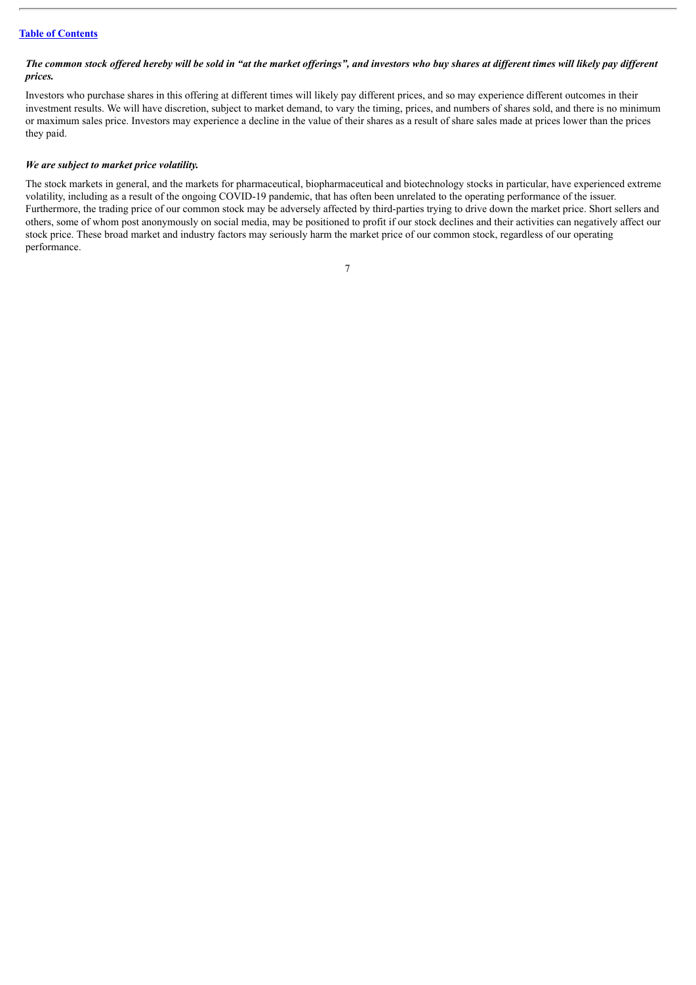## The common stock offered hereby will be sold in "at the market offerings", and investors who buy shares at different times will likely pay different *prices.*

Investors who purchase shares in this offering at different times will likely pay different prices, and so may experience different outcomes in their investment results. We will have discretion, subject to market demand, to vary the timing, prices, and numbers of shares sold, and there is no minimum or maximum sales price. Investors may experience a decline in the value of their shares as a result of share sales made at prices lower than the prices they paid.

## *We are subject to market price volatility.*

The stock markets in general, and the markets for pharmaceutical, biopharmaceutical and biotechnology stocks in particular, have experienced extreme volatility, including as a result of the ongoing COVID-19 pandemic, that has often been unrelated to the operating performance of the issuer. Furthermore, the trading price of our common stock may be adversely affected by third-parties trying to drive down the market price. Short sellers and others, some of whom post anonymously on social media, may be positioned to profit if our stock declines and their activities can negatively affect our stock price. These broad market and industry factors may seriously harm the market price of our common stock, regardless of our operating performance.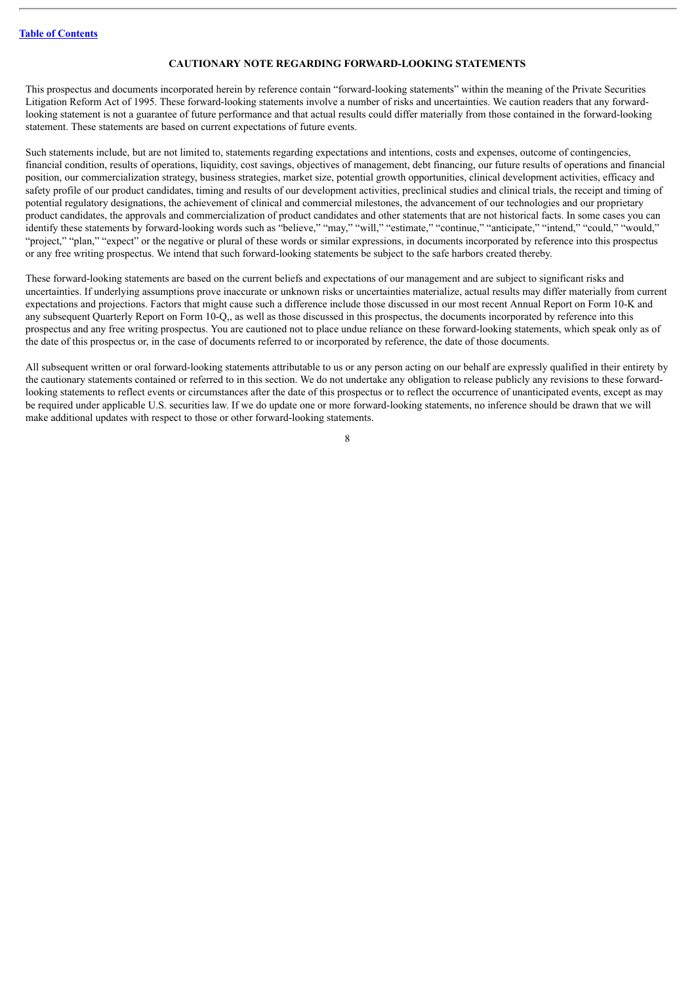## **CAUTIONARY NOTE REGARDING FORWARD-LOOKING STATEMENTS**

<span id="page-9-0"></span>This prospectus and documents incorporated herein by reference contain "forward-looking statements" within the meaning of the Private Securities Litigation Reform Act of 1995. These forward-looking statements involve a number of risks and uncertainties. We caution readers that any forwardlooking statement is not a guarantee of future performance and that actual results could differ materially from those contained in the forward-looking statement. These statements are based on current expectations of future events.

Such statements include, but are not limited to, statements regarding expectations and intentions, costs and expenses, outcome of contingencies, financial condition, results of operations, liquidity, cost savings, objectives of management, debt financing, our future results of operations and financial position, our commercialization strategy, business strategies, market size, potential growth opportunities, clinical development activities, efficacy and safety profile of our product candidates, timing and results of our development activities, preclinical studies and clinical trials, the receipt and timing of potential regulatory designations, the achievement of clinical and commercial milestones, the advancement of our technologies and our proprietary product candidates, the approvals and commercialization of product candidates and other statements that are not historical facts. In some cases you can identify these statements by forward-looking words such as "believe," "may," "will," "estimate," "continue," "anticipate," "intend," "could," "would," "project," "plan," "expect" or the negative or plural of these words or similar expressions, in documents incorporated by reference into this prospectus or any free writing prospectus. We intend that such forward-looking statements be subject to the safe harbors created thereby.

These forward-looking statements are based on the current beliefs and expectations of our management and are subject to significant risks and uncertainties. If underlying assumptions prove inaccurate or unknown risks or uncertainties materialize, actual results may differ materially from current expectations and projections. Factors that might cause such a difference include those discussed in our most recent Annual Report on Form 10-K and any subsequent Quarterly Report on Form 10-Q,, as well as those discussed in this prospectus, the documents incorporated by reference into this prospectus and any free writing prospectus. You are cautioned not to place undue reliance on these forward-looking statements, which speak only as of the date of this prospectus or, in the case of documents referred to or incorporated by reference, the date of those documents.

All subsequent written or oral forward-looking statements attributable to us or any person acting on our behalf are expressly qualified in their entirety by the cautionary statements contained or referred to in this section. We do not undertake any obligation to release publicly any revisions to these forwardlooking statements to reflect events or circumstances after the date of this prospectus or to reflect the occurrence of unanticipated events, except as may be required under applicable U.S. securities law. If we do update one or more forward-looking statements, no inference should be drawn that we will make additional updates with respect to those or other forward-looking statements.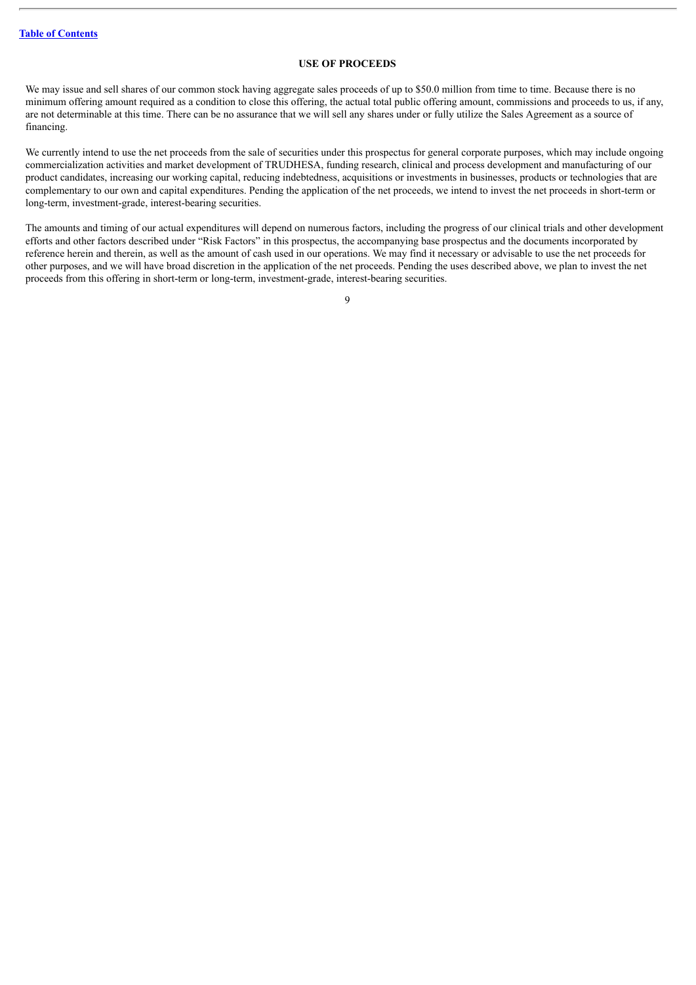## **USE OF PROCEEDS**

<span id="page-10-0"></span>We may issue and sell shares of our common stock having aggregate sales proceeds of up to \$50.0 million from time to time. Because there is no minimum offering amount required as a condition to close this offering, the actual total public offering amount, commissions and proceeds to us, if any, are not determinable at this time. There can be no assurance that we will sell any shares under or fully utilize the Sales Agreement as a source of financing.

We currently intend to use the net proceeds from the sale of securities under this prospectus for general corporate purposes, which may include ongoing commercialization activities and market development of TRUDHESA, funding research, clinical and process development and manufacturing of our product candidates, increasing our working capital, reducing indebtedness, acquisitions or investments in businesses, products or technologies that are complementary to our own and capital expenditures. Pending the application of the net proceeds, we intend to invest the net proceeds in short-term or long-term, investment-grade, interest-bearing securities.

The amounts and timing of our actual expenditures will depend on numerous factors, including the progress of our clinical trials and other development efforts and other factors described under "Risk Factors" in this prospectus, the accompanying base prospectus and the documents incorporated by reference herein and therein, as well as the amount of cash used in our operations. We may find it necessary or advisable to use the net proceeds for other purposes, and we will have broad discretion in the application of the net proceeds. Pending the uses described above, we plan to invest the net proceeds from this offering in short-term or long-term, investment-grade, interest-bearing securities.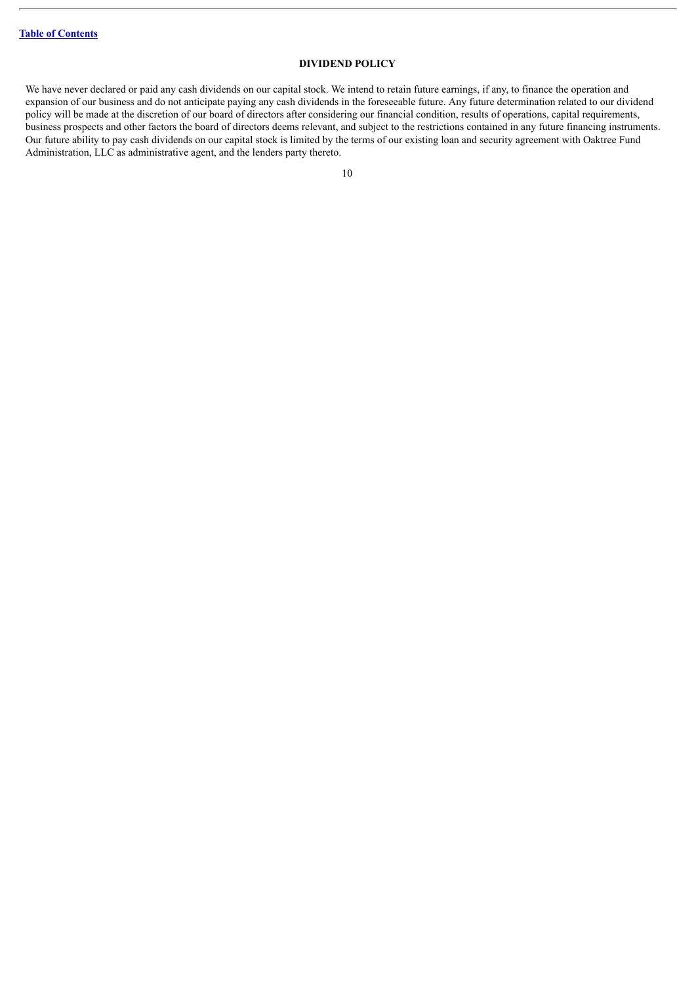## **DIVIDEND POLICY**

<span id="page-11-0"></span>We have never declared or paid any cash dividends on our capital stock. We intend to retain future earnings, if any, to finance the operation and expansion of our business and do not anticipate paying any cash dividends in the foreseeable future. Any future determination related to our dividend policy will be made at the discretion of our board of directors after considering our financial condition, results of operations, capital requirements, business prospects and other factors the board of directors deems relevant, and subject to the restrictions contained in any future financing instruments. Our future ability to pay cash dividends on our capital stock is limited by the terms of our existing loan and security agreement with Oaktree Fund Administration, LLC as administrative agent, and the lenders party thereto.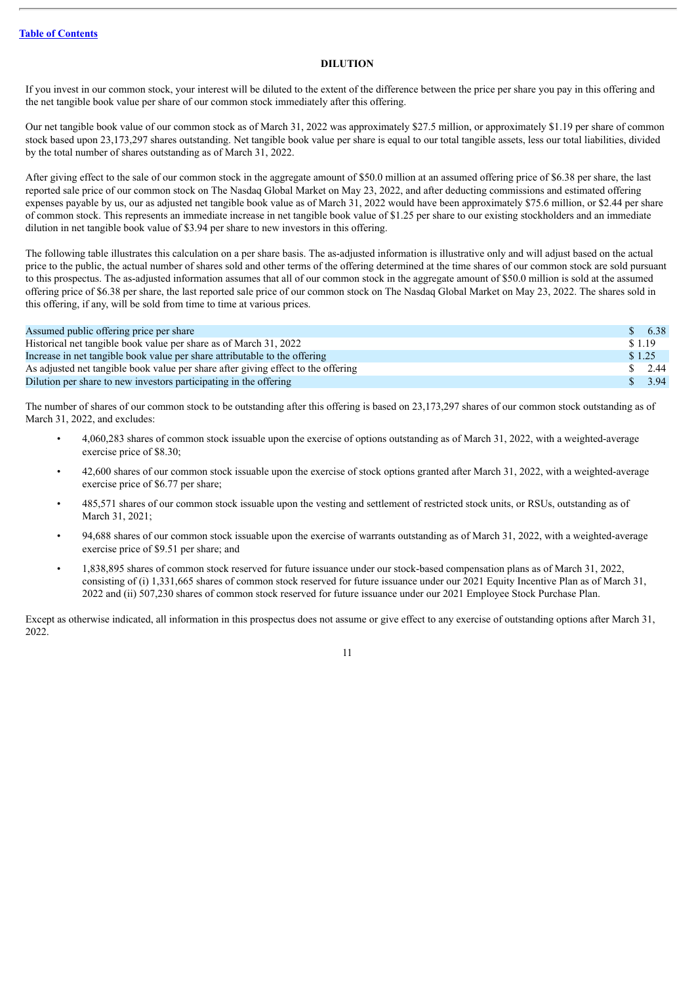## **DILUTION**

<span id="page-12-0"></span>If you invest in our common stock, your interest will be diluted to the extent of the difference between the price per share you pay in this offering and the net tangible book value per share of our common stock immediately after this offering.

Our net tangible book value of our common stock as of March 31, 2022 was approximately \$27.5 million, or approximately \$1.19 per share of common stock based upon 23,173,297 shares outstanding. Net tangible book value per share is equal to our total tangible assets, less our total liabilities, divided by the total number of shares outstanding as of March 31, 2022.

After giving effect to the sale of our common stock in the aggregate amount of \$50.0 million at an assumed offering price of \$6.38 per share, the last reported sale price of our common stock on The Nasdaq Global Market on May 23, 2022, and after deducting commissions and estimated offering expenses payable by us, our as adjusted net tangible book value as of March 31, 2022 would have been approximately \$75.6 million, or \$2.44 per share of common stock. This represents an immediate increase in net tangible book value of \$1.25 per share to our existing stockholders and an immediate dilution in net tangible book value of \$3.94 per share to new investors in this offering.

The following table illustrates this calculation on a per share basis. The as-adjusted information is illustrative only and will adjust based on the actual price to the public, the actual number of shares sold and other terms of the offering determined at the time shares of our common stock are sold pursuant to this prospectus. The as-adjusted information assumes that all of our common stock in the aggregate amount of \$50.0 million is sold at the assumed offering price of \$6.38 per share, the last reported sale price of our common stock on The Nasdaq Global Market on May 23, 2022. The shares sold in this offering, if any, will be sold from time to time at various prices.

| Assumed public offering price per share                                           |        | 6.38 |
|-----------------------------------------------------------------------------------|--------|------|
| Historical net tangible book value per share as of March 31, 2022                 | \$1.19 |      |
| Increase in net tangible book value per share attributable to the offering        | \$1.25 |      |
| As adjusted net tangible book value per share after giving effect to the offering |        | 2.44 |
| Dilution per share to new investors participating in the offering                 |        | 3.94 |

The number of shares of our common stock to be outstanding after this offering is based on 23,173,297 shares of our common stock outstanding as of March 31, 2022, and excludes:

- 4,060,283 shares of common stock issuable upon the exercise of options outstanding as of March 31, 2022, with a weighted-average exercise price of \$8.30;
- 42,600 shares of our common stock issuable upon the exercise of stock options granted after March 31, 2022, with a weighted-average exercise price of \$6.77 per share;
- 485,571 shares of our common stock issuable upon the vesting and settlement of restricted stock units, or RSUs, outstanding as of March 31, 2021;
- 94,688 shares of our common stock issuable upon the exercise of warrants outstanding as of March 31, 2022, with a weighted-average exercise price of \$9.51 per share; and
- 1,838,895 shares of common stock reserved for future issuance under our stock-based compensation plans as of March 31, 2022, consisting of (i) 1,331,665 shares of common stock reserved for future issuance under our 2021 Equity Incentive Plan as of March 31, 2022 and (ii) 507,230 shares of common stock reserved for future issuance under our 2021 Employee Stock Purchase Plan.

Except as otherwise indicated, all information in this prospectus does not assume or give effect to any exercise of outstanding options after March 31, 2022.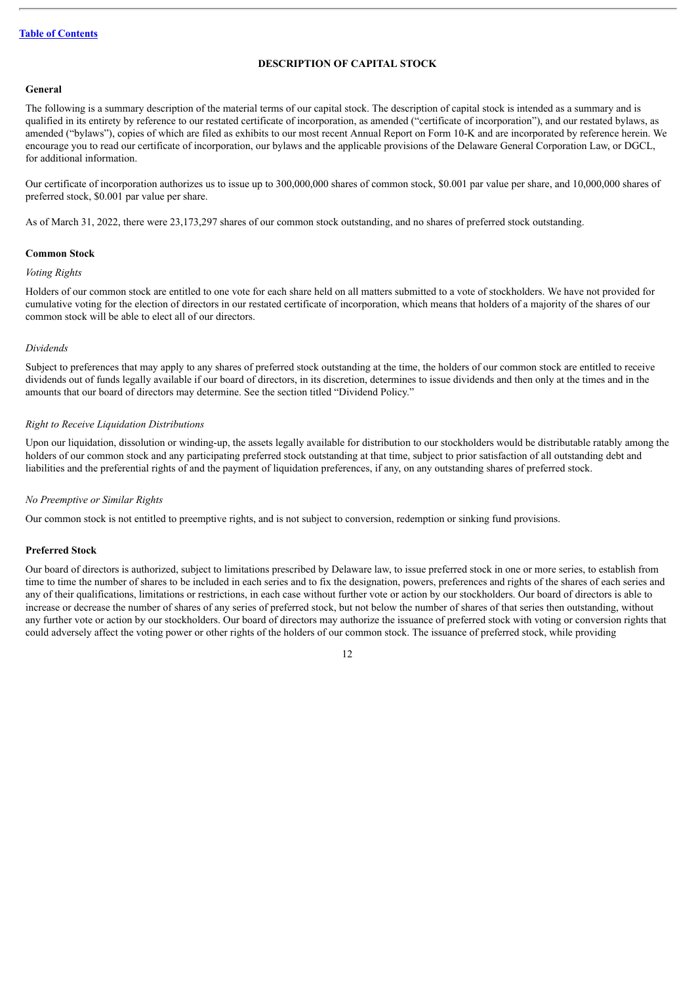## **DESCRIPTION OF CAPITAL STOCK**

## <span id="page-13-0"></span>**General**

The following is a summary description of the material terms of our capital stock. The description of capital stock is intended as a summary and is qualified in its entirety by reference to our restated certificate of incorporation, as amended ("certificate of incorporation"), and our restated bylaws, as amended ("bylaws"), copies of which are filed as exhibits to our most recent Annual Report on Form 10-K and are incorporated by reference herein. We encourage you to read our certificate of incorporation, our bylaws and the applicable provisions of the Delaware General Corporation Law, or DGCL, for additional information.

Our certificate of incorporation authorizes us to issue up to 300,000,000 shares of common stock, \$0.001 par value per share, and 10,000,000 shares of preferred stock, \$0.001 par value per share.

As of March 31, 2022, there were 23,173,297 shares of our common stock outstanding, and no shares of preferred stock outstanding.

## **Common Stock**

#### *Voting Rights*

Holders of our common stock are entitled to one vote for each share held on all matters submitted to a vote of stockholders. We have not provided for cumulative voting for the election of directors in our restated certificate of incorporation, which means that holders of a majority of the shares of our common stock will be able to elect all of our directors.

## *Dividends*

Subject to preferences that may apply to any shares of preferred stock outstanding at the time, the holders of our common stock are entitled to receive dividends out of funds legally available if our board of directors, in its discretion, determines to issue dividends and then only at the times and in the amounts that our board of directors may determine. See the section titled "Dividend Policy."

#### *Right to Receive Liquidation Distributions*

Upon our liquidation, dissolution or winding-up, the assets legally available for distribution to our stockholders would be distributable ratably among the holders of our common stock and any participating preferred stock outstanding at that time, subject to prior satisfaction of all outstanding debt and liabilities and the preferential rights of and the payment of liquidation preferences, if any, on any outstanding shares of preferred stock.

#### *No Preemptive or Similar Rights*

Our common stock is not entitled to preemptive rights, and is not subject to conversion, redemption or sinking fund provisions.

#### **Preferred Stock**

Our board of directors is authorized, subject to limitations prescribed by Delaware law, to issue preferred stock in one or more series, to establish from time to time the number of shares to be included in each series and to fix the designation, powers, preferences and rights of the shares of each series and any of their qualifications, limitations or restrictions, in each case without further vote or action by our stockholders. Our board of directors is able to increase or decrease the number of shares of any series of preferred stock, but not below the number of shares of that series then outstanding, without any further vote or action by our stockholders. Our board of directors may authorize the issuance of preferred stock with voting or conversion rights that could adversely affect the voting power or other rights of the holders of our common stock. The issuance of preferred stock, while providing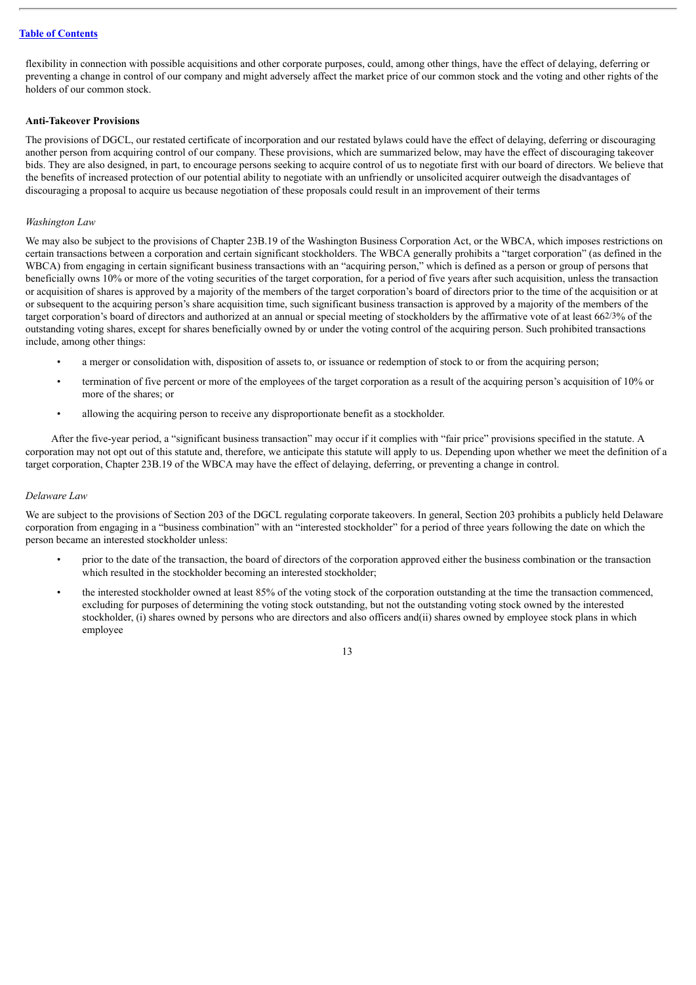flexibility in connection with possible acquisitions and other corporate purposes, could, among other things, have the effect of delaying, deferring or preventing a change in control of our company and might adversely affect the market price of our common stock and the voting and other rights of the holders of our common stock.

## **Anti-Takeover Provisions**

The provisions of DGCL, our restated certificate of incorporation and our restated bylaws could have the effect of delaying, deferring or discouraging another person from acquiring control of our company. These provisions, which are summarized below, may have the effect of discouraging takeover bids. They are also designed, in part, to encourage persons seeking to acquire control of us to negotiate first with our board of directors. We believe that the benefits of increased protection of our potential ability to negotiate with an unfriendly or unsolicited acquirer outweigh the disadvantages of discouraging a proposal to acquire us because negotiation of these proposals could result in an improvement of their terms

## *Washington Law*

We may also be subject to the provisions of Chapter 23B.19 of the Washington Business Corporation Act, or the WBCA, which imposes restrictions on certain transactions between a corporation and certain significant stockholders. The WBCA generally prohibits a "target corporation" (as defined in the WBCA) from engaging in certain significant business transactions with an "acquiring person," which is defined as a person or group of persons that beneficially owns 10% or more of the voting securities of the target corporation, for a period of five years after such acquisition, unless the transaction or acquisition of shares is approved by a majority of the members of the target corporation's board of directors prior to the time of the acquisition or at or subsequent to the acquiring person's share acquisition time, such significant business transaction is approved by a majority of the members of the target corporation's board of directors and authorized at an annual or special meeting of stockholders by the affirmative vote of at least 662/3% of the outstanding voting shares, except for shares beneficially owned by or under the voting control of the acquiring person. Such prohibited transactions include, among other things:

- a merger or consolidation with, disposition of assets to, or issuance or redemption of stock to or from the acquiring person;
- termination of five percent or more of the employees of the target corporation as a result of the acquiring person's acquisition of 10% or more of the shares; or
- allowing the acquiring person to receive any disproportionate benefit as a stockholder.

After the five-year period, a "significant business transaction" may occur if it complies with "fair price" provisions specified in the statute. A corporation may not opt out of this statute and, therefore, we anticipate this statute will apply to us. Depending upon whether we meet the definition of a target corporation, Chapter 23B.19 of the WBCA may have the effect of delaying, deferring, or preventing a change in control.

## *Delaware Law*

We are subject to the provisions of Section 203 of the DGCL regulating corporate takeovers. In general, Section 203 prohibits a publicly held Delaware corporation from engaging in a "business combination" with an "interested stockholder" for a period of three years following the date on which the person became an interested stockholder unless:

- prior to the date of the transaction, the board of directors of the corporation approved either the business combination or the transaction which resulted in the stockholder becoming an interested stockholder;
- the interested stockholder owned at least 85% of the voting stock of the corporation outstanding at the time the transaction commenced, excluding for purposes of determining the voting stock outstanding, but not the outstanding voting stock owned by the interested stockholder, (i) shares owned by persons who are directors and also officers and(ii) shares owned by employee stock plans in which employee

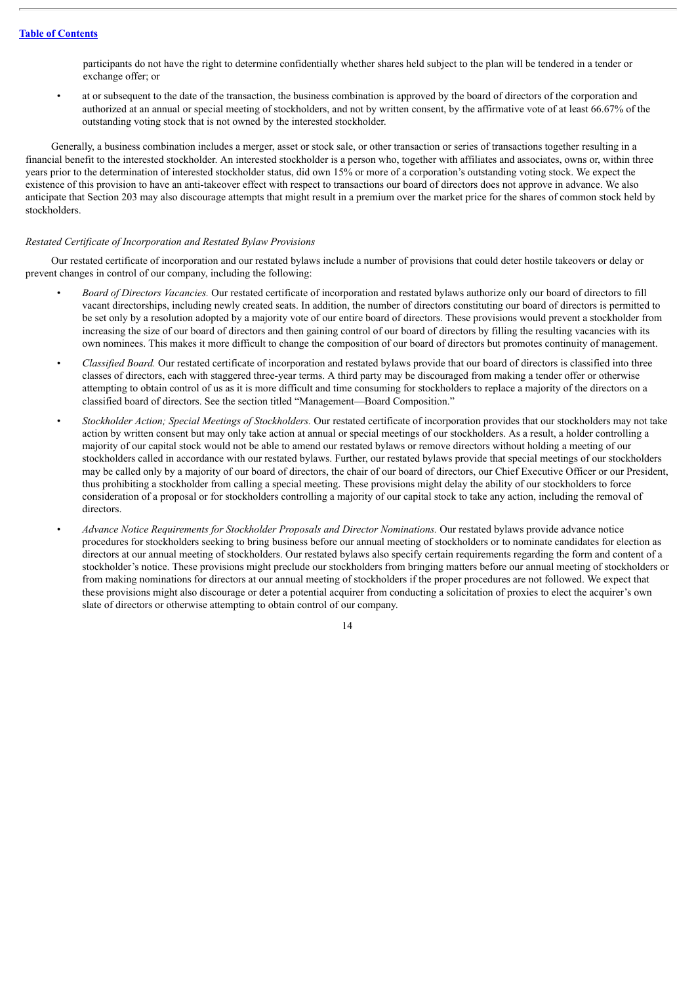participants do not have the right to determine confidentially whether shares held subject to the plan will be tendered in a tender or exchange offer; or

• at or subsequent to the date of the transaction, the business combination is approved by the board of directors of the corporation and authorized at an annual or special meeting of stockholders, and not by written consent, by the affirmative vote of at least 66.67% of the outstanding voting stock that is not owned by the interested stockholder.

Generally, a business combination includes a merger, asset or stock sale, or other transaction or series of transactions together resulting in a financial benefit to the interested stockholder. An interested stockholder is a person who, together with affiliates and associates, owns or, within three years prior to the determination of interested stockholder status, did own 15% or more of a corporation's outstanding voting stock. We expect the existence of this provision to have an anti-takeover effect with respect to transactions our board of directors does not approve in advance. We also anticipate that Section 203 may also discourage attempts that might result in a premium over the market price for the shares of common stock held by stockholders.

## *Restated Certificate of Incorporation and Restated Bylaw Provisions*

Our restated certificate of incorporation and our restated bylaws include a number of provisions that could deter hostile takeovers or delay or prevent changes in control of our company, including the following:

- *Board of Directors Vacancies.* Our restated certificate of incorporation and restated bylaws authorize only our board of directors to fill vacant directorships, including newly created seats. In addition, the number of directors constituting our board of directors is permitted to be set only by a resolution adopted by a majority vote of our entire board of directors. These provisions would prevent a stockholder from increasing the size of our board of directors and then gaining control of our board of directors by filling the resulting vacancies with its own nominees. This makes it more difficult to change the composition of our board of directors but promotes continuity of management.
- *Classified Board.* Our restated certificate of incorporation and restated bylaws provide that our board of directors is classified into three classes of directors, each with staggered three-year terms. A third party may be discouraged from making a tender offer or otherwise attempting to obtain control of us as it is more difficult and time consuming for stockholders to replace a majority of the directors on a classified board of directors. See the section titled "Management—Board Composition."
- *Stockholder Action; Special Meetings of Stockholders.* Our restated certificate of incorporation provides that our stockholders may not take action by written consent but may only take action at annual or special meetings of our stockholders. As a result, a holder controlling a majority of our capital stock would not be able to amend our restated bylaws or remove directors without holding a meeting of our stockholders called in accordance with our restated bylaws. Further, our restated bylaws provide that special meetings of our stockholders may be called only by a majority of our board of directors, the chair of our board of directors, our Chief Executive Officer or our President, thus prohibiting a stockholder from calling a special meeting. These provisions might delay the ability of our stockholders to force consideration of a proposal or for stockholders controlling a majority of our capital stock to take any action, including the removal of directors.
- *Advance Notice Requirements for Stockholder Proposals and Director Nominations.* Our restated bylaws provide advance notice procedures for stockholders seeking to bring business before our annual meeting of stockholders or to nominate candidates for election as directors at our annual meeting of stockholders. Our restated bylaws also specify certain requirements regarding the form and content of a stockholder's notice. These provisions might preclude our stockholders from bringing matters before our annual meeting of stockholders or from making nominations for directors at our annual meeting of stockholders if the proper procedures are not followed. We expect that these provisions might also discourage or deter a potential acquirer from conducting a solicitation of proxies to elect the acquirer's own slate of directors or otherwise attempting to obtain control of our company.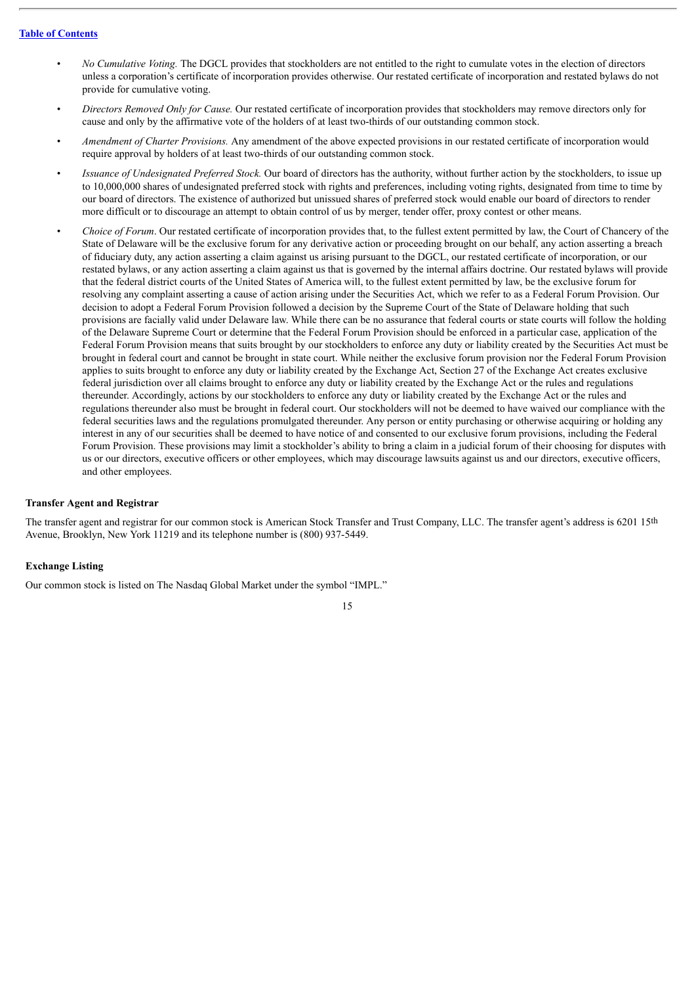- *No Cumulative Voting.* The DGCL provides that stockholders are not entitled to the right to cumulate votes in the election of directors unless a corporation's certificate of incorporation provides otherwise. Our restated certificate of incorporation and restated bylaws do not provide for cumulative voting.
- *Directors Removed Only for Cause.* Our restated certificate of incorporation provides that stockholders may remove directors only for cause and only by the affirmative vote of the holders of at least two-thirds of our outstanding common stock.
- *Amendment of Charter Provisions.* Any amendment of the above expected provisions in our restated certificate of incorporation would require approval by holders of at least two-thirds of our outstanding common stock.
- *Issuance of Undesignated Preferred Stock.* Our board of directors has the authority, without further action by the stockholders, to issue up to 10,000,000 shares of undesignated preferred stock with rights and preferences, including voting rights, designated from time to time by our board of directors. The existence of authorized but unissued shares of preferred stock would enable our board of directors to render more difficult or to discourage an attempt to obtain control of us by merger, tender offer, proxy contest or other means.
- *Choice of Forum*. Our restated certificate of incorporation provides that, to the fullest extent permitted by law, the Court of Chancery of the State of Delaware will be the exclusive forum for any derivative action or proceeding brought on our behalf, any action asserting a breach of fiduciary duty, any action asserting a claim against us arising pursuant to the DGCL, our restated certificate of incorporation, or our restated bylaws, or any action asserting a claim against us that is governed by the internal affairs doctrine. Our restated bylaws will provide that the federal district courts of the United States of America will, to the fullest extent permitted by law, be the exclusive forum for resolving any complaint asserting a cause of action arising under the Securities Act, which we refer to as a Federal Forum Provision. Our decision to adopt a Federal Forum Provision followed a decision by the Supreme Court of the State of Delaware holding that such provisions are facially valid under Delaware law. While there can be no assurance that federal courts or state courts will follow the holding of the Delaware Supreme Court or determine that the Federal Forum Provision should be enforced in a particular case, application of the Federal Forum Provision means that suits brought by our stockholders to enforce any duty or liability created by the Securities Act must be brought in federal court and cannot be brought in state court. While neither the exclusive forum provision nor the Federal Forum Provision applies to suits brought to enforce any duty or liability created by the Exchange Act, Section 27 of the Exchange Act creates exclusive federal jurisdiction over all claims brought to enforce any duty or liability created by the Exchange Act or the rules and regulations thereunder. Accordingly, actions by our stockholders to enforce any duty or liability created by the Exchange Act or the rules and regulations thereunder also must be brought in federal court. Our stockholders will not be deemed to have waived our compliance with the federal securities laws and the regulations promulgated thereunder. Any person or entity purchasing or otherwise acquiring or holding any interest in any of our securities shall be deemed to have notice of and consented to our exclusive forum provisions, including the Federal Forum Provision. These provisions may limit a stockholder's ability to bring a claim in a judicial forum of their choosing for disputes with us or our directors, executive officers or other employees, which may discourage lawsuits against us and our directors, executive officers, and other employees.

#### **Transfer Agent and Registrar**

The transfer agent and registrar for our common stock is American Stock Transfer and Trust Company, LLC. The transfer agent's address is 6201 15th Avenue, Brooklyn, New York 11219 and its telephone number is (800) 937-5449.

## **Exchange Listing**

Our common stock is listed on The Nasdaq Global Market under the symbol "IMPL."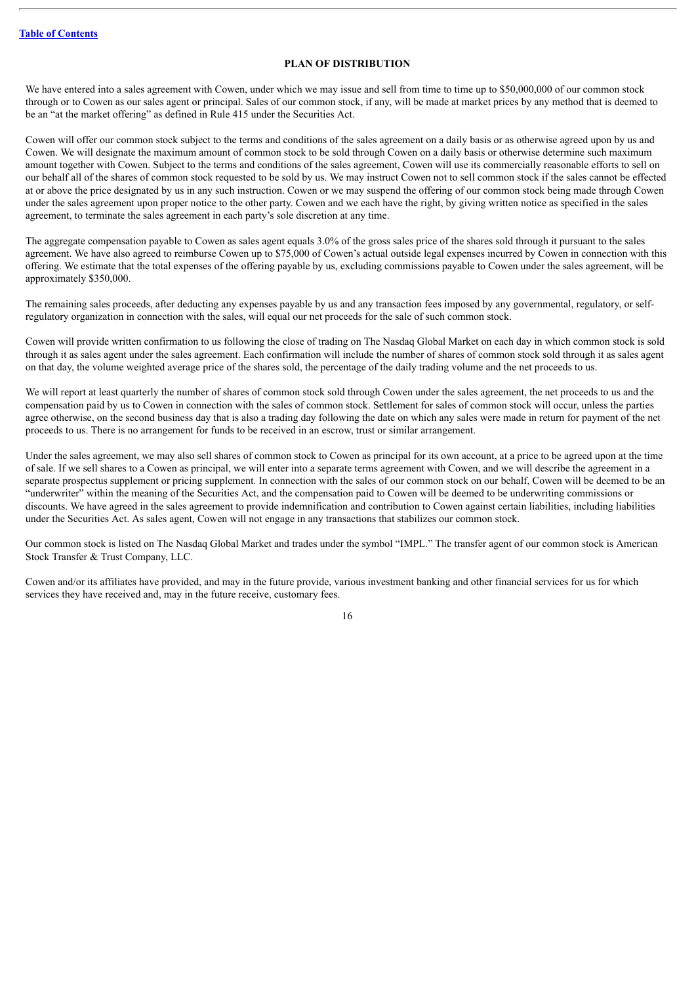## **PLAN OF DISTRIBUTION**

<span id="page-17-0"></span>We have entered into a sales agreement with Cowen, under which we may issue and sell from time to time up to \$50,000,000 of our common stock through or to Cowen as our sales agent or principal. Sales of our common stock, if any, will be made at market prices by any method that is deemed to be an "at the market offering" as defined in Rule 415 under the Securities Act.

Cowen will offer our common stock subject to the terms and conditions of the sales agreement on a daily basis or as otherwise agreed upon by us and Cowen. We will designate the maximum amount of common stock to be sold through Cowen on a daily basis or otherwise determine such maximum amount together with Cowen. Subject to the terms and conditions of the sales agreement, Cowen will use its commercially reasonable efforts to sell on our behalf all of the shares of common stock requested to be sold by us. We may instruct Cowen not to sell common stock if the sales cannot be effected at or above the price designated by us in any such instruction. Cowen or we may suspend the offering of our common stock being made through Cowen under the sales agreement upon proper notice to the other party. Cowen and we each have the right, by giving written notice as specified in the sales agreement, to terminate the sales agreement in each party's sole discretion at any time.

The aggregate compensation payable to Cowen as sales agent equals 3.0% of the gross sales price of the shares sold through it pursuant to the sales agreement. We have also agreed to reimburse Cowen up to \$75,000 of Cowen's actual outside legal expenses incurred by Cowen in connection with this offering. We estimate that the total expenses of the offering payable by us, excluding commissions payable to Cowen under the sales agreement, will be approximately \$350,000.

The remaining sales proceeds, after deducting any expenses payable by us and any transaction fees imposed by any governmental, regulatory, or selfregulatory organization in connection with the sales, will equal our net proceeds for the sale of such common stock.

Cowen will provide written confirmation to us following the close of trading on The Nasdaq Global Market on each day in which common stock is sold through it as sales agent under the sales agreement. Each confirmation will include the number of shares of common stock sold through it as sales agent on that day, the volume weighted average price of the shares sold, the percentage of the daily trading volume and the net proceeds to us.

We will report at least quarterly the number of shares of common stock sold through Cowen under the sales agreement, the net proceeds to us and the compensation paid by us to Cowen in connection with the sales of common stock. Settlement for sales of common stock will occur, unless the parties agree otherwise, on the second business day that is also a trading day following the date on which any sales were made in return for payment of the net proceeds to us. There is no arrangement for funds to be received in an escrow, trust or similar arrangement.

Under the sales agreement, we may also sell shares of common stock to Cowen as principal for its own account, at a price to be agreed upon at the time of sale. If we sell shares to a Cowen as principal, we will enter into a separate terms agreement with Cowen, and we will describe the agreement in a separate prospectus supplement or pricing supplement. In connection with the sales of our common stock on our behalf, Cowen will be deemed to be an "underwriter" within the meaning of the Securities Act, and the compensation paid to Cowen will be deemed to be underwriting commissions or discounts. We have agreed in the sales agreement to provide indemnification and contribution to Cowen against certain liabilities, including liabilities under the Securities Act. As sales agent, Cowen will not engage in any transactions that stabilizes our common stock.

Our common stock is listed on The Nasdaq Global Market and trades under the symbol "IMPL." The transfer agent of our common stock is American Stock Transfer & Trust Company, LLC.

Cowen and/or its affiliates have provided, and may in the future provide, various investment banking and other financial services for us for which services they have received and, may in the future receive, customary fees.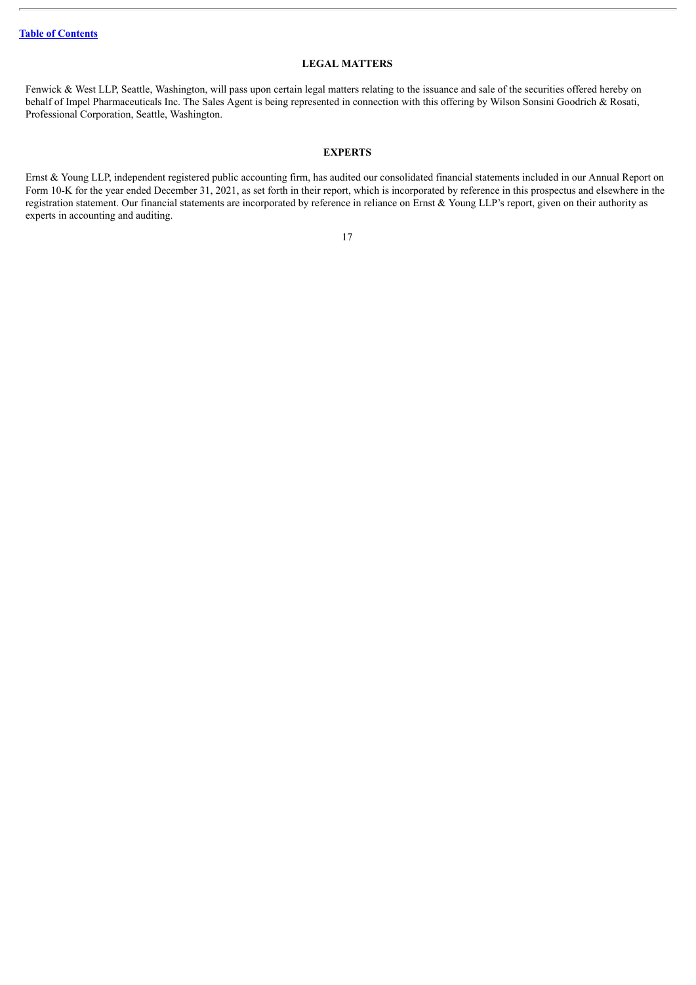## **LEGAL MATTERS**

<span id="page-18-0"></span>Fenwick & West LLP, Seattle, Washington, will pass upon certain legal matters relating to the issuance and sale of the securities offered hereby on behalf of Impel Pharmaceuticals Inc. The Sales Agent is being represented in connection with this offering by Wilson Sonsini Goodrich & Rosati, Professional Corporation, Seattle, Washington.

## **EXPERTS**

<span id="page-18-1"></span>Ernst & Young LLP, independent registered public accounting firm, has audited our consolidated financial statements included in our Annual Report on Form 10-K for the year ended December 31, 2021, as set forth in their report, which is incorporated by reference in this prospectus and elsewhere in the registration statement. Our financial statements are incorporated by reference in reliance on Ernst & Young LLP's report, given on their authority as experts in accounting and auditing.